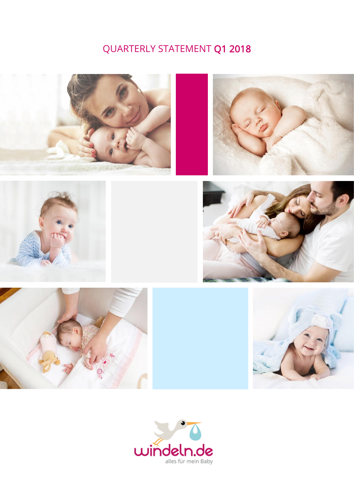# QUARTERLY STATEMENT Q1 2018













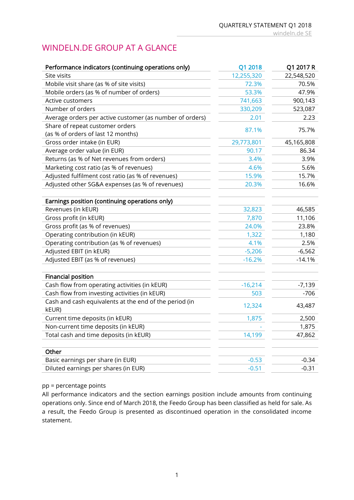### WINDELN.DE GROUP AT A GLANCE

| Performance indicators (continuing operations only)      | Q1 2018    | Q1 2017 R  |
|----------------------------------------------------------|------------|------------|
| Site visits                                              | 12,255,320 | 22,548,520 |
| Mobile visit share (as % of site visits)                 | 72.3%      | 70.5%      |
| Mobile orders (as % of number of orders)                 | 53.3%      | 47.9%      |
| Active customers                                         | 741,663    | 900,143    |
| Number of orders                                         | 330,209    | 523,087    |
| Average orders per active customer (as number of orders) | 2.01       | 2.23       |
| Share of repeat customer orders                          | 87.1%      | 75.7%      |
| (as % of orders of last 12 months)                       |            |            |
| Gross order intake (in EUR)                              | 29,773,801 | 45,165,808 |
| Average order value (in EUR)                             | 90.17      | 86.34      |
| Returns (as % of Net revenues from orders)               | 3.4%       | 3.9%       |
| Marketing cost ratio (as % of revenues)                  | 4.6%       | 5.6%       |
| Adjusted fulfilment cost ratio (as % of revenues)        | 15.9%      | 15.7%      |
| Adjusted other SG&A expenses (as % of revenues)          | 20.3%      | 16.6%      |
|                                                          |            |            |
| Earnings position (continuing operations only)           |            |            |
| Revenues (in kEUR)                                       | 32,823     | 46,585     |
| Gross profit (in kEUR)                                   | 7,870      | 11,106     |
| Gross profit (as % of revenues)                          | 24.0%      | 23.8%      |
| Operating contribution (in kEUR)                         | 1,322      | 1,180      |
| Operating contribution (as % of revenues)                | 4.1%       | 2.5%       |
| Adjusted EBIT (in kEUR)                                  | $-5,206$   | $-6,562$   |
| Adjusted EBIT (as % of revenues)                         | $-16.2%$   | $-14.1%$   |
|                                                          |            |            |
| <b>Financial position</b>                                |            |            |
| Cash flow from operating activities (in kEUR)            | $-16,214$  | $-7,139$   |
| Cash flow from investing activities (in kEUR)            | 503        | $-706$     |
| Cash and cash equivalents at the end of the period (in   | 12,324     | 43,487     |
| kEUR)                                                    |            |            |
| Current time deposits (in kEUR)                          | 1,875      | 2,500      |
| Non-current time deposits (in kEUR)                      |            | 1,875      |
| Total cash and time deposits (in kEUR)                   | 14,199     | 47,862     |
|                                                          |            |            |
| Other                                                    |            |            |
| Basic earnings per share (in EUR)                        | $-0.53$    | $-0.34$    |
| Diluted earnings per shares (in EUR)                     | $-0.51$    | $-0.31$    |

#### pp = percentage points

All performance indicators and the section earnings position include amounts from continuing operations only. Since end of March 2018, the Feedo Group has been classified as held for sale. As a result, the Feedo Group is presented as discontinued operation in the consolidated income statement.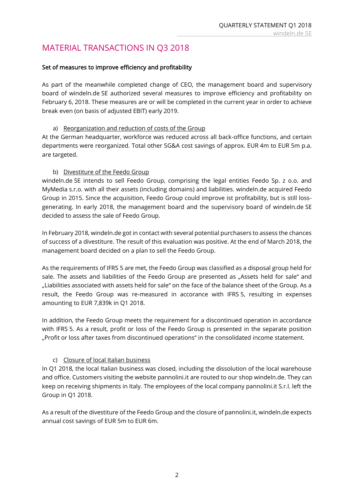### MATERIAL TRANSACTIONS IN Q3 2018

### Set of measures to improve efficiency and profitability

As part of the meanwhile completed change of CEO, the management board and supervisory board of windeln.de SE authorized several measures to improve efficiency and profitability on February 6, 2018. These measures are or will be completed in the current year in order to achieve break even (on basis of adjusted EBIT) early 2019.

#### a) Reorganization and reduction of costs of the Group

At the German headquarter, workforce was reduced across all back-office functions, and certain departments were reorganized. Total other SG&A cost savings of approx. EUR 4m to EUR 5m p.a. are targeted.

### b) Divestiture of the Feedo Group

windeln.de SE intends to sell Feedo Group, comprising the legal entities Feedo Sp. z o.o. and MyMedia s.r.o. with all their assets (including domains) and liabilities. windeln.de acquired Feedo Group in 2015. Since the acquisition, Feedo Group could improve ist profitability, but is still lossgenerating. In early 2018, the management board and the supervisory board of windeln.de SE decided to assess the sale of Feedo Group.

In February 2018, windeln.de got in contact with several potential purchasers to assess the chances of success of a divestiture. The result of this evaluation was positive. At the end of March 2018, the management board decided on a plan to sell the Feedo Group.

As the requirements of IFRS 5 are met, the Feedo Group was classified as a disposal group held for sale. The assets and liabilities of the Feedo Group are presented as "Assets held for sale" and "Liabilities associated with assets held for sale" on the face of the balance sheet of the Group. As a result, the Feedo Group was re-measured in accorance with IFRS 5, resulting in expenses amounting to EUR 7,839k in Q1 2018.

In addition, the Feedo Group meets the requirement for a discontinued operation in accordance with IFRS 5. As a result, profit or loss of the Feedo Group is presented in the separate position "Profit or loss after taxes from discontinued operations" in the consolidated income statement.

### c) Closure of local Italian business

In Q1 2018, the local Italian business was closed, including the dissolution of the local warehouse and office. Customers visiting the website pannolini.it are routed to our shop windeln.de. They can keep on receiving shipments in Italy. The employees of the local company pannolini.it S.r.l. left the Group in Q1 2018.

As a result of the divestiture of the Feedo Group and the closure of pannolini.it, windeln.de expects annual cost savings of EUR 5m to EUR 6m.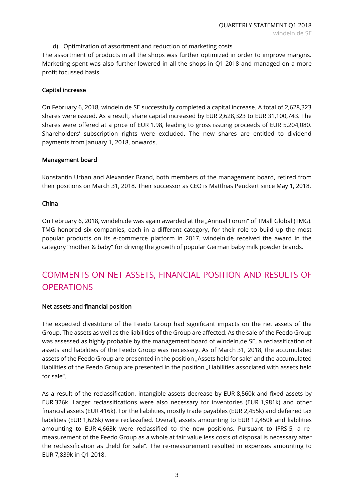d) Optimization of assortment and reduction of marketing costs

The assortment of products in all the shops was further optimized in order to improve margins. Marketing spent was also further lowered in all the shops in Q1 2018 and managed on a more profit focussed basis.

### Capital increase

On February 6, 2018, windeln.de SE successfully completed a capital increase. A total of 2,628,323 shares were issued. As a result, share capital increased by EUR 2,628,323 to EUR 31,100,743. The shares were offered at a price of EUR 1.98, leading to gross issuing proceeds of EUR 5,204,080. Shareholders' subscription rights were excluded. The new shares are entitled to dividend payments from January 1, 2018, onwards.

#### Management board

Konstantin Urban and Alexander Brand, both members of the management board, retired from their positions on March 31, 2018. Their successor as CEO is Matthias Peuckert since May 1, 2018.

### China

On February 6, 2018, windeln.de was again awarded at the "Annual Forum" of TMall Global (TMG). TMG honored six companies, each in a different category, for their role to build up the most popular products on its e-commerce platform in 2017. windeln.de received the award in the category "mother & baby" for driving the growth of popular German baby milk powder brands.

### COMMENTS ON NET ASSETS, FINANCIAL POSITION AND RESULTS OF **OPERATIONS**

#### Net assets and financial position

The expected divestiture of the Feedo Group had significant impacts on the net assets of the Group. The assets as well as the liabilities of the Group are affected. As the sale of the Feedo Group was assessed as highly probable by the management board of windeln.de SE, a reclassification of assets and liabilities of the Feedo Group was necessary. As of March 31, 2018, the accumulated assets of the Feedo Group are presented in the position "Assets held for sale" and the accumulated liabilities of the Feedo Group are presented in the position "Liabilities associated with assets held for sale".

As a result of the reclassification, intangible assets decrease by EUR 8,560k and fixed assets by EUR 326k. Larger reclassifications were also necessary for inventories (EUR 1,981k) and other financial assets (EUR 416k). For the liabilities, mostly trade payables (EUR 2,455k) and deferred tax liabilities (EUR 1,626k) were reclassified. Overall, assets amounting to EUR 12,450k and liabilities amounting to EUR 4,663k were reclassified to the new positions. Pursuant to IFRS 5, a remeasurement of the Feedo Group as a whole at fair value less costs of disposal is necessary after the reclassification as "held for sale". The re-measurement resulted in expenses amounting to EUR 7,839k in Q1 2018.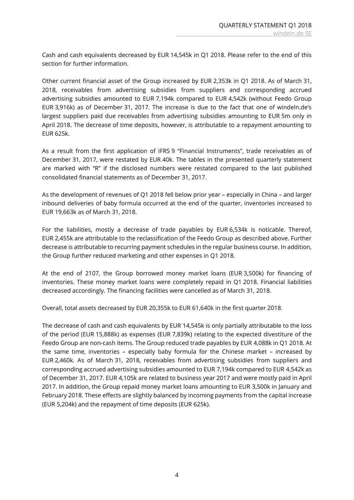Cash and cash equivalents decreased by EUR 14,545k in Q1 2018. Please refer to the end of this section for further information.

Other current financial asset of the Group increased by EUR 2,353k in Q1 2018. As of March 31, 2018, receivables from advertising subsidies from suppliers and corresponding accrued advertising subsidies amounted to EUR 7,194k compared to EUR 4,542k (without Feedo Group EUR 3,916k) as of December 31, 2017. The increase is due to the fact that one of windeln.de's largest suppliers paid due receivables from advertising subsidies amounting to EUR 5m only in April 2018. The decrease of time deposits, however, is attributable to a repayment amounting to EUR 625k.

As a result from the first application of IFRS 9 "Financial Instruments", trade receivables as of December 31, 2017, were restated by EUR 40k. The tables in the presented quarterly statement are marked with "R" if the disclosed numbers were restated compared to the last published consolidated financial statements as of December 31, 2017.

As the development of revenues of Q1 2018 fell below prior year – especially in China – and larger inbound deliveries of baby formula occurred at the end of the quarter, inventories increased to EUR 19,663k as of March 31, 2018.

For the liabilities, mostly a decrease of trade payables by EUR 6,534k is noticable. Thereof, EUR 2,455k are attributable to the reclassification of the Feedo Group as described above. Further decrease is attributable to recurring payment schedules in the regular business course. In addition, the Group further reduced marketing and other expenses in Q1 2018.

At the end of 2107, the Group borrowed money market loans (EUR 3,500k) for financing of inventories. These money market loans were completely repaid in Q1 2018. Financial liabilities decreased accordingly. The financing facilities were cancelled as of March 31, 2018.

Overall, total assets decreased by EUR 20,355k to EUR 61,640k in the first quarter 2018.

The decrease of cash and cash equivalents by EUR 14,545k is only partially attributable to the loss of the period (EUR 15,888k) as expenses (EUR 7,839k) relating to the expected divestiture of the Feedo Group are non-cash items. The Group reduced trade payables by EUR 4,088k in Q1 2018. At the same time, inventories – especially baby formula for the Chinese market – increased by EUR 2,460k. As of March 31, 2018, receivables from advertising subsidies from suppliers and corresponding accrued advertising subsidies amounted to EUR 7,194k compared to EUR 4,542k as of December 31, 2017. EUR 4,105k are related to business year 2017 and were mostly paid in April 2017. In addition, the Group repaid money market loans amounting to EUR 3,500k in January and February 2018. These effects are slightly balanced by incoming payments from the capital increase (EUR 5,204k) and the repayment of time deposits (EUR 625k).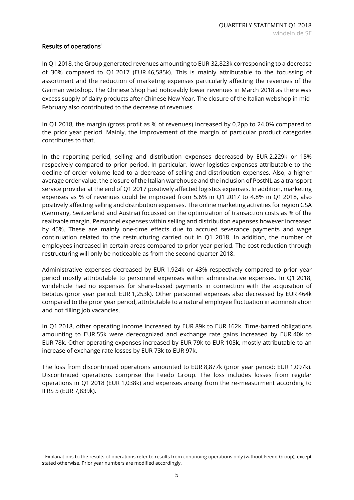### Results of operations<sup>1</sup>

 $\overline{a}$ 

In Q1 2018, the Group generated revenues amounting to EUR 32,823k corresponding to a decrease of 30% compared to Q1 2017 (EUR 46,585k). This is mainly attributable to the focussing of assortment and the reduction of marketing expenses particularly affecting the revenues of the German webshop. The Chinese Shop had noticeably lower revenues in March 2018 as there was excess supply of dairy products after Chinese New Year. The closure of the Italian webshop in mid-February also contributed to the decrease of revenues.

In Q1 2018, the margin (gross profit as % of revenues) increased by 0.2pp to 24.0% compared to the prior year period. Mainly, the improvement of the margin of particular product categories contributes to that.

In the reporting period, selling and distribution expenses decreased by EUR 2,229k or 15% respecively compared to prior period. In particular, lower logistics expenses attributable to the decline of order volume lead to a decrease of selling and distribution expenses. Also, a higher average order value, the closure of the Italian warehouse and the inclusion of PostNL as a transport service provider at the end of Q1 2017 positively affected logistics expenses. In addition, marketing expenses as % of revenues could be improved from 5.6% in Q1 2017 to 4.8% in Q1 2018, also positively affecting selling and distribution expenses. The online marketing activities for region GSA (Germany, Switzerland and Austria) focussed on the optimization of transaction costs as % of the realizable margin. Personnel expenses within selling and distribution expenses however increased by 45%. These are mainly one-time effects due to accrued severance payments and wage continuation related to the restructuring carried out in Q1 2018. In addition, the number of employees increased in certain areas compared to prior year period. The cost reduction through restructuring will only be noticeable as from the second quarter 2018.

Administrative expenses decreased by EUR 1,924k or 43% respectively compared to prior year period mostly attributable to personnel expenses within administrative expenses. In Q1 2018, windeln.de had no expenses for share-based payments in connection with the acquisition of Bebitus (prior year period: EUR 1,253k). Other personnel expenses also decreased by EUR 464k compared to the prior year period, attributable to a natural employee fluctuation in administration and not filling job vacancies.

In Q1 2018, other operating income increased by EUR 89k to EUR 162k. Time-barred obligations amounting to EUR 55k were derecognized and exchange rate gains increased by EUR 40k to EUR 78k. Other operating expenses increased by EUR 79k to EUR 105k, mostly attributable to an increase of exchange rate losses by EUR 73k to EUR 97k.

The loss from discontinued operations amounted to EUR 8,877k (prior year period: EUR 1,097k). Discontinued operations comprise the Feedo Group. The loss includes losses from regular operations in Q1 2018 (EUR 1,038k) and expenses arising from the re-measurment according to IFRS 5 (EUR 7,839k).

<sup>1</sup> Explanations to the results of operations refer to results from continuing operations only (without Feedo Group), except stated otherwise. Prior year numbers are modified accordingly.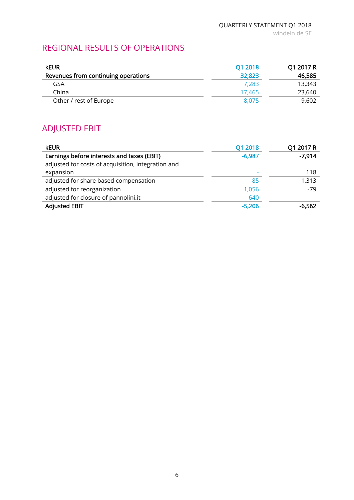### REGIONAL RESULTS OF OPERATIONS

| <b>kEUR</b>                         | 01 2018 | Q1 2017 R |
|-------------------------------------|---------|-----------|
| Revenues from continuing operations | 32,823  | 46,585    |
| GSA                                 | 7.283   | 13.343    |
| China                               | 17.465  | 23,640    |
| Other / rest of Europe              | 8.075   | 9,602     |

# ADJUSTED EBIT

| <b>kEUR</b>                                        | Q1 2018  | Q1 2017 R |
|----------------------------------------------------|----------|-----------|
| Earnings before interests and taxes (EBIT)         | $-6,987$ | $-7,914$  |
| adjusted for costs of acquisition, integration and |          |           |
| expansion                                          |          | 118       |
| adjusted for share based compensation              | 85       | 1,313     |
| adjusted for reorganization                        | 1,056    | $-79$     |
| adjusted for closure of pannolini.it               | 640      |           |
| <b>Adjusted EBIT</b>                               | $-5,206$ | $-6,562$  |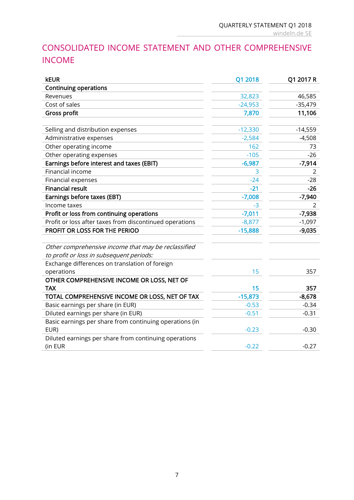# CONSOLIDATED INCOME STATEMENT AND OTHER COMPREHENSIVE INCOME

| <b>kEUR</b>                                             | Q1 2018   | Q1 2017 R      |
|---------------------------------------------------------|-----------|----------------|
| <b>Continuing operations</b>                            |           |                |
| Revenues                                                | 32,823    | 46,585         |
| Cost of sales                                           | $-24,953$ | $-35,479$      |
| <b>Gross profit</b>                                     | 7,870     | 11,106         |
|                                                         |           |                |
| Selling and distribution expenses                       | $-12,330$ | $-14,559$      |
| Administrative expenses                                 | $-2,584$  | $-4,508$       |
| Other operating income                                  | 162       | 73             |
| Other operating expenses                                | $-105$    | $-26$          |
| Earnings before interest and taxes (EBIT)               | $-6,987$  | $-7,914$       |
| Financial income                                        | 3         | $\overline{2}$ |
| <b>Financial expenses</b>                               | $-24$     | $-28$          |
| <b>Financial result</b>                                 | $-21$     | $-26$          |
| Earnings before taxes (EBT)                             | $-7,008$  | $-7,940$       |
| Income taxes                                            | $-3$      | 2              |
| Profit or loss from continuing operations               | $-7,011$  | $-7,938$       |
| Profit or loss after taxes from discontinued operations | $-8,877$  | $-1,097$       |
| PROFIT OR LOSS FOR THE PERIOD                           | $-15,888$ | $-9,035$       |
|                                                         |           |                |
| Other comprehensive income that may be reclassified     |           |                |
| to profit or loss in subsequent periods:                |           |                |
| Exchange differences on translation of foreign          |           |                |
| operations                                              | 15        | 357            |
| OTHER COMPREHENSIVE INCOME OR LOSS, NET OF              |           |                |
| <b>TAX</b>                                              | 15        | 357            |
| TOTAL COMPREHENSIVE INCOME OR LOSS, NET OF TAX          | $-15,873$ | $-8,678$       |
| Basic earnings per share (in EUR)                       | $-0.53$   | $-0.34$        |
| Diluted earnings per share (in EUR)                     | $-0.51$   | $-0.31$        |
| Basic earnings per share from continuing operations (in |           |                |
| EUR)                                                    | $-0.23$   | $-0.30$        |
| Diluted earnings per share from continuing operations   |           |                |
| (in EUR                                                 | $-0.22$   | $-0.27$        |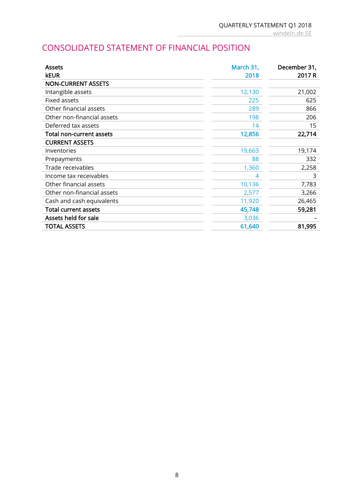### CONSOLIDATED STATEMENT OF FINANCIAL POSITION

| <b>Assets</b>               | March 31, | December 31, |
|-----------------------------|-----------|--------------|
| <b>kEUR</b>                 | 2018      | 2017 R       |
| <b>NON-CURRENT ASSETS</b>   |           |              |
| Intangible assets           | 12,130    | 21,002       |
| Fixed assets                | 225       | 625          |
| Other financial assets      | 289       | 866          |
| Other non-financial assets  | 198       | 206          |
| Deferred tax assets         | 14        | 15           |
| Total non-current assets    | 12,856    | 22,714       |
| <b>CURRENT ASSETS</b>       |           |              |
| Inventories                 | 19,663    | 19,174       |
| Prepayments                 | 88        | 332          |
| Trade receivables           | 1,360     | 2,258        |
| Income tax receivables      | 4         | 3            |
| Other financial assets      | 10,136    | 7,783        |
| Other non-financial assets  | 2,577     | 3,266        |
| Cash and cash equivalents   | 11,920    | 26,465       |
| <b>Total current assets</b> | 45,748    | 59,281       |
| Assets held for sale        | 3,036     |              |
| <b>TOTAL ASSETS</b>         | 61,640    | 81,995       |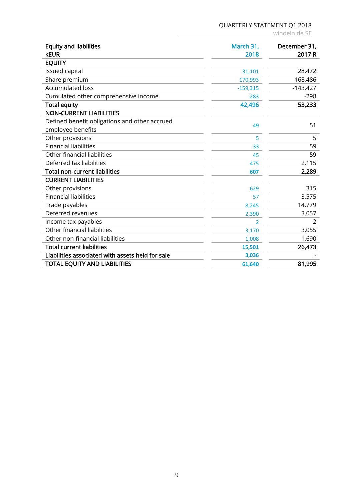### QUARTERLY STATEMENT Q1 2018

windeln.de SE

| <b>Equity and liabilities</b><br><b>kEUR</b>                       | March 31,<br>2018 | December 31,<br>2017 R |
|--------------------------------------------------------------------|-------------------|------------------------|
| <b>EQUITY</b>                                                      |                   |                        |
| Issued capital                                                     | 31,101            | 28,472                 |
| Share premium                                                      | 170,993           | 168,486                |
| <b>Accumulated loss</b>                                            | $-159,315$        | $-143,427$             |
| Cumulated other comprehensive income                               | $-283$            | $-298$                 |
| <b>Total equity</b>                                                | 42,496            | 53,233                 |
| <b>NON-CURRENT LIABILITIES</b>                                     |                   |                        |
| Defined benefit obligations and other accrued<br>employee benefits | 49                | 51                     |
| Other provisions                                                   | 5                 | 5                      |
| <b>Financial liabilities</b>                                       | 33                | 59                     |
| Other financial liabilities                                        | 45                | 59                     |
| Deferred tax liabilities                                           | 475               | 2,115                  |
| <b>Total non-current liabilities</b>                               | 607               | 2,289                  |
| <b>CURRENT LIABILITIES</b>                                         |                   |                        |
| Other provisions                                                   | 629               | 315                    |
| <b>Financial liabilities</b>                                       | 57                | 3,575                  |
| Trade payables                                                     | 8,245             | 14,779                 |
| Deferred revenues                                                  | 2,390             | 3,057                  |
| Income tax payables                                                | 2                 | 2                      |
| Other financial liabilities                                        | 3,170             | 3,055                  |
| Other non-financial liabilities                                    | 1,008             | 1,690                  |
| <b>Total current liabilities</b>                                   | 15,501            | 26,473                 |
| Liabilities associated with assets held for sale                   | 3,036             |                        |
| <b>TOTAL EQUITY AND LIABILITIES</b>                                | 61,640            | 81,995                 |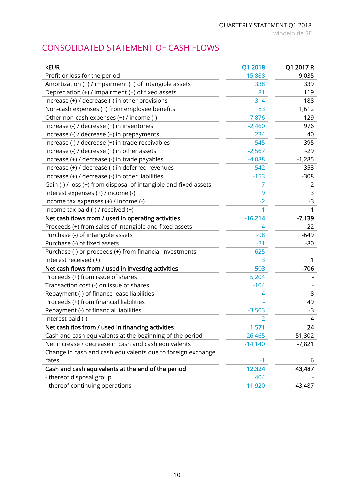windeln.de SE

# CONSOLIDATED STATEMENT OF CASH FLOWS

| <b>kEUR</b>                                                      | Q1 2018   | Q1 2017 R |
|------------------------------------------------------------------|-----------|-----------|
| Profit or loss for the period                                    | $-15,888$ | $-9,035$  |
| Amortization (+) / impairment (+) of intangible assets           | 338       | 339       |
| Depreciation (+) / impairment (+) of fixed assets                | 81        | 119       |
| Increase (+) / decrease (-) in other provisions                  | 314       | $-188$    |
| Non-cash expenses (+) from employee benefits                     | 83        | 1,612     |
| Other non-cash expenses (+) / income (-)                         | 7,876     | $-129$    |
| Increase (-) / decrease (+) in inventories                       | $-2,460$  | 976       |
| Increase (-) / decrease (+) in prepayments                       | 234       | 40        |
| Increase (-) / decrease (+) in trade receivables                 | 545       | 395       |
| Increase (-) / decrease (+) in other assets                      | $-2,567$  | $-29$     |
| Increase (+) / decrease (-) in trade payables                    | $-4,088$  | $-1,285$  |
| Increase (+) / decrease (-) in deferred revenues                 | $-542$    | 353       |
| Increase (+) / decrease (-) in other liabilities                 | $-153$    | $-308$    |
| Gain (-) / loss (+) from disposal of intangible and fixed assets | T         | 2         |
| Interest expenses (+) / income (-)                               | 9         | 3         |
| Income tax expenses (+) / income (-)                             | $-2$      | $-3$      |
| Income tax paid (-) / received (+)                               | $-1$      | -1        |
| Net cash flows from / used in operating activities               | $-16,214$ | $-7,139$  |
| Proceeds (+) from sales of intangible and fixed assets           | 4         | 22        |
| Purchase (-) of intangible assets                                | $-98$     | $-649$    |
| Purchase (-) of fixed assets                                     | $-31$     | -80       |
| Purchase (-) or proceeds (+) from financial investments          | 625       |           |
| Interest received (+)                                            | 3         |           |
| Net cash flows from / used in investing activities               | 503       | $-706$    |
| Proceeds (+) from issue of shares                                | 5,204     |           |
| Transaction cost (-) on issue of shares                          | $-104$    |           |
| Repayment (-) of finance lease liabilities                       | $-14$     | $-18$     |
| Proceeds (+) from financial liabilities                          |           | 49        |
| Repayment (-) of financial liabilities                           | $-3,503$  | $-3$      |
| Interest paid (-)                                                | $-12$     | -4        |
| Net cash flos from / used in financing activities                | 1,571     | 24        |
| Cash and cash equivalents at the beginning of the period         | 26,465    | 51,302    |
| Net increase / decrease in cash and cash equivalents             | $-14,140$ | $-7,821$  |
| Change in cash and cash equivalents due to foreign exchange      |           |           |
| rates                                                            | -1        | 6         |
| Cash and cash equivalents at the end of the period               | 12,324    | 43,487    |
| - thereof disposal group                                         | 404       |           |
| - thereof continuing operations                                  | 11,920    | 43,487    |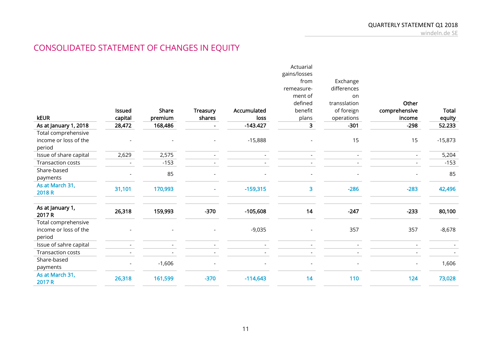# CONSOLIDATED STATEMENT OF CHANGES IN EQUITY

|                            |               |          |          |             | Actuarial    |              |                          |           |
|----------------------------|---------------|----------|----------|-------------|--------------|--------------|--------------------------|-----------|
|                            |               |          |          |             | gains/losses |              |                          |           |
|                            |               |          |          |             | from         | Exchange     |                          |           |
|                            |               |          |          |             | remeasure-   | differences  |                          |           |
|                            |               |          |          |             | ment of      | on           |                          |           |
|                            |               |          |          |             | defined      | transslation | Other                    |           |
|                            | <b>Issued</b> | Share    | Treasury | Accumulated | benefit      | of foreign   | comprehensive            | Total     |
| <b>kEUR</b>                | capital       | premium  | shares   | loss        | plans        | operations   | income                   | equity    |
| As at January 1, 2018      | 28,472        | 168,486  |          | $-143.427$  | 3            | $-301$       | $-298$                   | 52.233    |
| Total comprehensive        |               |          |          |             |              |              |                          |           |
| income or loss of the      |               |          |          | $-15,888$   |              | 15           | 15                       | $-15,873$ |
| period                     |               |          |          |             |              |              |                          |           |
| Issue of share capital     | 2,629         | 2,575    |          |             |              |              |                          | 5,204     |
| Transaction costs          |               | $-153$   |          |             |              |              |                          | $-153$    |
| Share-based                |               |          |          |             |              |              |                          | 85        |
| payments                   |               | 85       |          |             |              |              |                          |           |
| As at March 31,            |               |          |          |             |              | $-286$       | $-283$                   |           |
| 2018 R                     | 31,101        | 170,993  |          | $-159,315$  | 3            |              |                          | 42,496    |
|                            |               |          |          |             |              |              |                          |           |
| As at January 1,<br>2017 R | 26,318        | 159,993  | $-370$   | $-105,608$  | 14           | $-247$       | $-233$                   | 80,100    |
| Total comprehensive        |               |          |          |             |              |              |                          |           |
| income or loss of the      |               |          |          | $-9,035$    |              | 357          | 357                      | $-8,678$  |
| period                     |               |          |          |             |              |              |                          |           |
| Issue of sahre capital     |               |          |          |             |              |              |                          |           |
| <b>Transaction costs</b>   |               |          |          |             |              |              |                          |           |
| Share-based                |               | $-1,606$ |          |             |              |              |                          | 1,606     |
| payments                   |               |          |          |             |              |              | $\overline{\phantom{a}}$ |           |
| As at March 31,<br>2017 R  | 26,318        | 161,599  | $-370$   | $-114,643$  | 14           | 110          | 124                      | 73,028    |